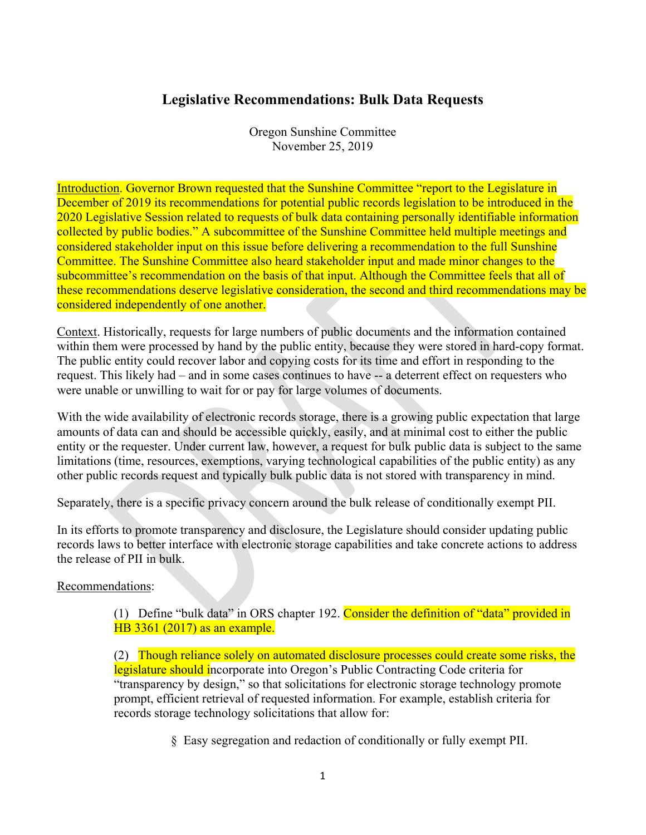## **Legislative Recommendations: Bulk Data Requests**

Oregon Sunshine Committee November 25, 2019

Introduction. Governor Brown requested that the Sunshine Committee "report to the Legislature in December of 2019 its recommendations for potential public records legislation to be introduced in the 2020 Legislative Session related to requests of bulk data containing personally identifiable information collected by public bodies." A subcommittee of the Sunshine Committee held multiple meetings and considered stakeholder input on this issue before delivering a recommendation to the full Sunshine Committee. The Sunshine Committee also heard stakeholder input and made minor changes to the subcommittee's recommendation on the basis of that input. Although the Committee feels that all of these recommendations deserve legislative consideration, the second and third recommendations may be considered independently of one another.

Context. Historically, requests for large numbers of public documents and the information contained within them were processed by hand by the public entity, because they were stored in hard-copy format. The public entity could recover labor and copying costs for its time and effort in responding to the request. This likely had – and in some cases continues to have -- a deterrent effect on requesters who were unable or unwilling to wait for or pay for large volumes of documents.

With the wide availability of electronic records storage, there is a growing public expectation that large amounts of data can and should be accessible quickly, easily, and at minimal cost to either the public entity or the requester. Under current law, however, a request for bulk public data is subject to the same limitations (time, resources, exemptions, varying technological capabilities of the public entity) as any other public records request and typically bulk public data is not stored with transparency in mind.

Separately, there is a specific privacy concern around the bulk release of conditionally exempt PII.

In its efforts to promote transparency and disclosure, the Legislature should consider updating public records laws to better interface with electronic storage capabilities and take concrete actions to address the release of PII in bulk.

## Recommendations:

(1) Define "bulk data" in ORS chapter 192. Consider the definition of "data" provided in HB 3361 (2017) as an example.

(2) Though reliance solely on automated disclosure processes could create some risks, the legislature should incorporate into Oregon's Public Contracting Code criteria for "transparency by design," so that solicitations for electronic storage technology promote prompt, efficient retrieval of requested information. For example, establish criteria for records storage technology solicitations that allow for:

§ Easy segregation and redaction of conditionally or fully exempt PII.